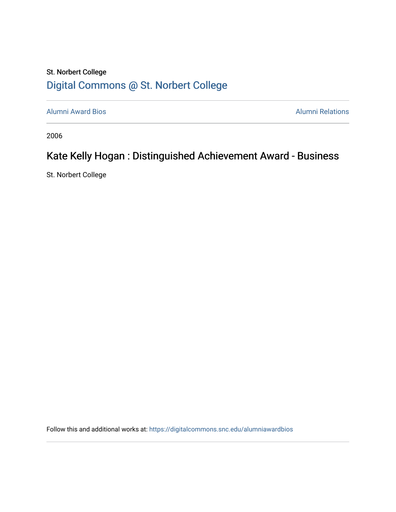## St. Norbert College [Digital Commons @ St. Norbert College](https://digitalcommons.snc.edu/)

[Alumni Award Bios](https://digitalcommons.snc.edu/alumniawardbios) **Alumni Relations** Alumni Relations

2006

## Kate Kelly Hogan : Distinguished Achievement Award - Business

St. Norbert College

Follow this and additional works at: [https://digitalcommons.snc.edu/alumniawardbios](https://digitalcommons.snc.edu/alumniawardbios?utm_source=digitalcommons.snc.edu%2Falumniawardbios%2F11&utm_medium=PDF&utm_campaign=PDFCoverPages)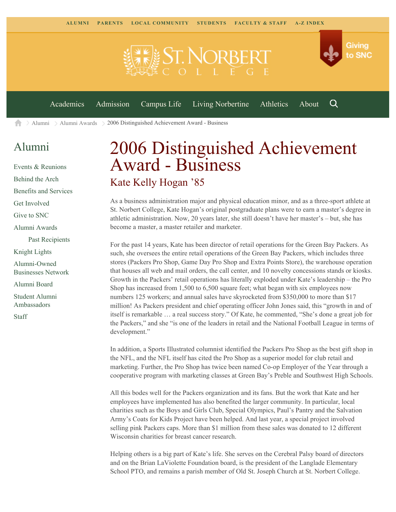

[Alumni](https://www.snc.edu/alumni/) [Alumni Awards](https://www.snc.edu/alumni/awards/) 2006 Distinguished Achievement Award - Business A

## [Alumni](https://www.snc.edu/alumni/index.html)

[Events & Reunions](https://www.snc.edu/alumni/event/index.html) [Behind the Arch](https://www.snc.edu/alumni/event/behindthearch/) [Benefits and Services](https://www.snc.edu/alumni/benefits.html) [Get Involved](https://www.snc.edu/alumni/getinvolved.html) [Give to SNC](http://giving.snc.edu/) [Alumni Awards](https://www.snc.edu/alumni/awards/index.html) [Past Recipients](https://www.snc.edu/alumni/awards/recipients.html) [Knight Lights](https://www.snc.edu/alumni/knightlights/index.html) [Alumni-Owned](https://www.snc.edu/alumni/directory/index.html) [Businesses Network](https://www.snc.edu/alumni/directory/index.html) [Alumni Board](https://www.snc.edu/alumni/alumniboard.html) [Student Alumni](https://www.snc.edu/alumni/saa.html) [Ambassadors](https://www.snc.edu/alumni/saa.html) [Staff](https://www.snc.edu/alumni/contactus.html)

## 2006 Distinguished Achievement Award - Business Kate Kelly Hogan '85

As a business administration major and physical education minor, and as a three-sport athlete at St. Norbert College, Kate Hogan's original postgraduate plans were to earn a master's degree in athletic administration. Now, 20 years later, she still doesn't have her master's – but, she has become a master, a master retailer and marketer.

For the past 14 years, Kate has been director of retail operations for the Green Bay Packers. As such, she oversees the entire retail operations of the Green Bay Packers, which includes three stores (Packers Pro Shop, Game Day Pro Shop and Extra Points Store), the warehouse operation that houses all web and mail orders, the call center, and 10 novelty concessions stands or kiosks. Growth in the Packers' retail operations has literally exploded under Kate's leadership – the Pro Shop has increased from 1,500 to 6,500 square feet; what began with six employees now numbers 125 workers; and annual sales have skyrocketed from \$350,000 to more than \$17 million! As Packers president and chief operating officer John Jones said, this "growth in and of itself is remarkable … a real success story." Of Kate, he commented, "She's done a great job for the Packers," and she "is one of the leaders in retail and the National Football League in terms of development."

In addition, a Sports Illustrated columnist identified the Packers Pro Shop as the best gift shop in the NFL, and the NFL itself has cited the Pro Shop as a superior model for club retail and marketing. Further, the Pro Shop has twice been named Co-op Employer of the Year through a cooperative program with marketing classes at Green Bay's Preble and Southwest High Schools.

All this bodes well for the Packers organization and its fans. But the work that Kate and her employees have implemented has also benefited the larger community. In particular, local charities such as the Boys and Girls Club, Special Olympics, Paul's Pantry and the Salvation Army's Coats for Kids Project have been helped. And last year, a special project involved selling pink Packers caps. More than \$1 million from these sales was donated to 12 different Wisconsin charities for breast cancer research.

Helping others is a big part of Kate's life. She serves on the Cerebral Palsy board of directors and on the Brian LaViolette Foundation board, is the president of the Langlade Elementary School PTO, and remains a parish member of Old St. Joseph Church at St. Norbert College.